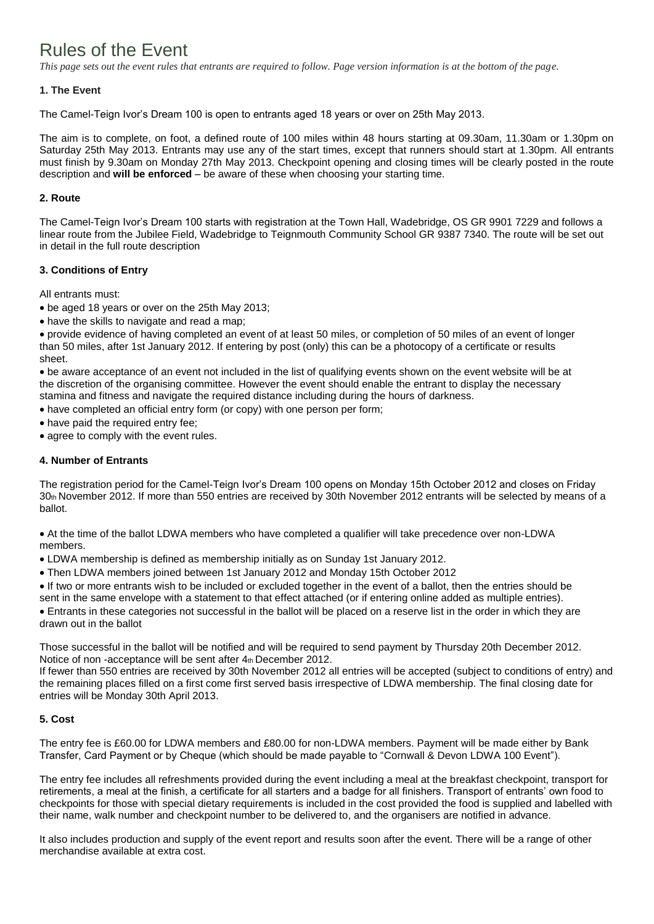# Rules of the Event

*This page sets out the event rules that entrants are required to follow. Page version information is at the bottom of the page.*

# **1. The Event**

The Camel-Teign Ivor's Dream 100 is open to entrants aged 18 years or over on 25th May 2013.

The aim is to complete, on foot, a defined route of 100 miles within 48 hours starting at 09.30am, 11.30am or 1.30pm on Saturday 25th May 2013. Entrants may use any of the start times, except that runners should start at 1.30pm. All entrants must finish by 9.30am on Monday 27th May 2013. Checkpoint opening and closing times will be clearly posted in the route description and **will be enforced** – be aware of these when choosing your starting time.

## **2. Route**

The Camel-Teign Ivor's Dream 100 starts with registration at the Town Hall, Wadebridge, OS GR 9901 7229 and follows a linear route from the Jubilee Field, Wadebridge to Teignmouth Community School GR 9387 7340. The route will be set out in detail in the full route description

# **3. Conditions of Entry**

All entrants must:

- be aged 18 years or over on the 25th May 2013;
- have the skills to navigate and read a map;

provide evidence of having completed an event of at least 50 miles, or completion of 50 miles of an event of longer than 50 miles, after 1st January 2012. If entering by post (only) this can be a photocopy of a certificate or results sheet.

be aware acceptance of an event not included in the list of qualifying events shown on the event website will be at the discretion of the organising committee. However the event should enable the entrant to display the necessary stamina and fitness and navigate the required distance including during the hours of darkness.

have completed an official entry form (or copy) with one person per form;

• have paid the required entry fee;

• agree to comply with the event rules.

# **4. Number of Entrants**

The registration period for the Camel-Teign Ivor's Dream 100 opens on Monday 15th October 2012 and closes on Friday 30th November 2012. If more than 550 entries are received by 30th November 2012 entrants will be selected by means of a ballot.

At the time of the ballot LDWA members who have completed a qualifier will take precedence over non-LDWA members.

- LDWA membership is defined as membership initially as on Sunday 1st January 2012.
- Then LDWA members joined between 1st January 2012 and Monday 15th October 2012

If two or more entrants wish to be included or excluded together in the event of a ballot, then the entries should be

sent in the same envelope with a statement to that effect attached (or if entering online added as multiple entries).

Entrants in these categories not successful in the ballot will be placed on a reserve list in the order in which they are drawn out in the ballot

Those successful in the ballot will be notified and will be required to send payment by Thursday 20th December 2012. Notice of non-acceptance will be sent after 4th December 2012.

If fewer than 550 entries are received by 30th November 2012 all entries will be accepted (subject to conditions of entry) and the remaining places filled on a first come first served basis irrespective of LDWA membership. The final closing date for entries will be Monday 30th April 2013.

## **5. Cost**

The entry fee is £60.00 for LDWA members and £80.00 for non-LDWA members. Payment will be made either by Bank Transfer, Card Payment or by Cheque (which should be made payable to "Cornwall & Devon LDWA 100 Event").

The entry fee includes all refreshments provided during the event including a meal at the breakfast checkpoint, transport for retirements, a meal at the finish, a certificate for all starters and a badge for all finishers. Transport of entrants' own food to checkpoints for those with special dietary requirements is included in the cost provided the food is supplied and labelled with their name, walk number and checkpoint number to be delivered to, and the organisers are notified in advance.

It also includes production and supply of the event report and results soon after the event. There will be a range of other merchandise available at extra cost.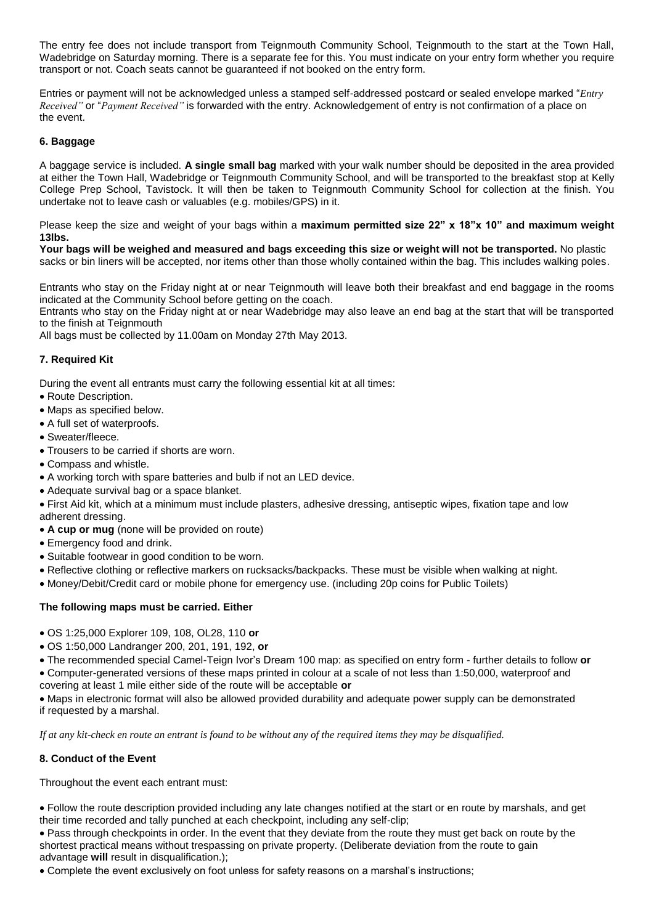The entry fee does not include transport from Teignmouth Community School, Teignmouth to the start at the Town Hall, Wadebridge on Saturday morning. There is a separate fee for this. You must indicate on your entry form whether you require transport or not. Coach seats cannot be guaranteed if not booked on the entry form.

Entries or payment will not be acknowledged unless a stamped self-addressed postcard or sealed envelope marked "*Entry Received"* or "*Payment Received"* is forwarded with the entry. Acknowledgement of entry is not confirmation of a place on the event.

# **6. Baggage**

A baggage service is included. **A single small bag** marked with your walk number should be deposited in the area provided at either the Town Hall, Wadebridge or Teignmouth Community School, and will be transported to the breakfast stop at Kelly College Prep School, Tavistock. It will then be taken to Teignmouth Community School for collection at the finish. You undertake not to leave cash or valuables (e.g. mobiles/GPS) in it.

Please keep the size and weight of your bags within a **maximum permitted size 22" x 18"x 10" and maximum weight 13lbs.**

**Your bags will be weighed and measured and bags exceeding this size or weight will not be transported.** No plastic sacks or bin liners will be accepted, nor items other than those wholly contained within the bag. This includes walking poles.

Entrants who stay on the Friday night at or near Teignmouth will leave both their breakfast and end baggage in the rooms indicated at the Community School before getting on the coach.

Entrants who stay on the Friday night at or near Wadebridge may also leave an end bag at the start that will be transported to the finish at Teignmouth

All bags must be collected by 11.00am on Monday 27th May 2013.

## **7. Required Kit**

During the event all entrants must carry the following essential kit at all times:

- Route Description.
- Maps as specified below.
- A full set of waterproofs.
- Sweater/fleece.
- Trousers to be carried if shorts are worn.
- Compass and whistle.
- A working torch with spare batteries and bulb if not an LED device.
- Adequate survival bag or a space blanket.
- First Aid kit, which at a minimum must include plasters, adhesive dressing, antiseptic wipes, fixation tape and low adherent dressing.
- **A cup or mug** (none will be provided on route)
- Emergency food and drink.
- Suitable footwear in good condition to be worn.
- Reflective clothing or reflective markers on rucksacks/backpacks. These must be visible when walking at night.
- Money/Debit/Credit card or mobile phone for emergency use. (including 20p coins for Public Toilets)

#### **The following maps must be carried. Either**

- OS 1:25,000 Explorer 109, 108, OL28, 110 **or**
- OS 1:50,000 Landranger 200, 201, 191, 192, **or**
- The recommended special Camel-Teign Ivor's Dream 100 map: as specified on entry form further details to follow **or** Computer-generated versions of these maps printed in colour at a scale of not less than 1:50,000, waterproof and covering at least 1 mile either side of the route will be acceptable **or**

Maps in electronic format will also be allowed provided durability and adequate power supply can be demonstrated if requested by a marshal.

*If at any kit-check en route an entrant is found to be without any of the required items they may be disqualified.*

## **8. Conduct of the Event**

Throughout the event each entrant must:

Follow the route description provided including any late changes notified at the start or en route by marshals, and get their time recorded and tally punched at each checkpoint, including any self-clip;

Pass through checkpoints in order. In the event that they deviate from the route they must get back on route by the shortest practical means without trespassing on private property. (Deliberate deviation from the route to gain advantage **will** result in disqualification.);

Complete the event exclusively on foot unless for safety reasons on a marshal's instructions;